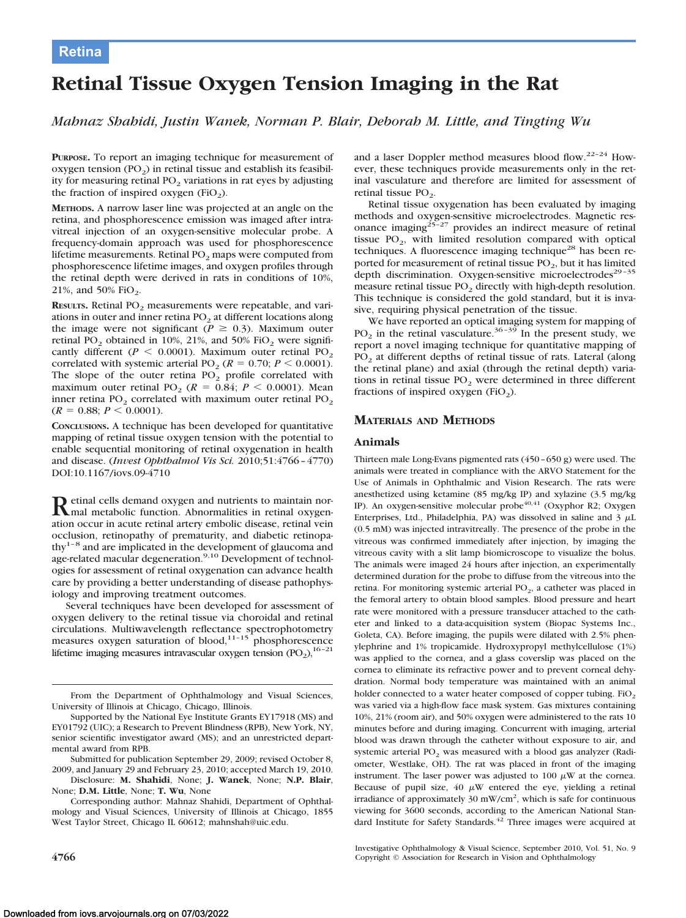# **Retina**

# **Retinal Tissue Oxygen Tension Imaging in the Rat**

*Mahnaz Shahidi, Justin Wanek, Norman P. Blair, Deborah M. Little, and Tingting Wu*

**PURPOSE.** To report an imaging technique for measurement of oxygen tension  $(PO<sub>2</sub>)$  in retinal tissue and establish its feasibility for measuring retinal  $PO<sub>2</sub>$  variations in rat eyes by adjusting the fraction of inspired oxygen (FiO<sub>2</sub>).

**METHODS.** A narrow laser line was projected at an angle on the retina, and phosphorescence emission was imaged after intravitreal injection of an oxygen-sensitive molecular probe. A frequency-domain approach was used for phosphorescence lifetime measurements. Retinal  $PO<sub>2</sub>$  maps were computed from phosphorescence lifetime images, and oxygen profiles through the retinal depth were derived in rats in conditions of 10%, 21%, and 50% FiO<sub>2</sub>.

**RESULTS.** Retinal PO<sub>2</sub> measurements were repeatable, and variations in outer and inner retina  $PO<sub>2</sub>$  at different locations along the image were not significant ( $P \ge 0.3$ ). Maximum outer retinal PO<sub>2</sub> obtained in 10%, 21%, and 50% FiO<sub>2</sub> were significantly different ( $P < 0.0001$ ). Maximum outer retinal PO<sub>2</sub> correlated with systemic arterial PO<sub>2</sub> ( $R = 0.70$ ;  $P < 0.0001$ ). The slope of the outer retina  $PO<sub>2</sub>$  profile correlated with maximum outer retinal PO<sub>2</sub> ( $R = 0.84$ ;  $P < 0.0001$ ). Mean inner retina  $PO<sub>2</sub>$  correlated with maximum outer retinal  $PO<sub>2</sub>$  $(R = 0.88; P \leq 0.0001).$ 

**CONCLUSIONS.** A technique has been developed for quantitative mapping of retinal tissue oxygen tension with the potential to enable sequential monitoring of retinal oxygenation in health and disease. (*Invest Ophthalmol Vis Sci.* 2010;51:4766 – 4770) DOI:10.1167/iovs.09-4710

Retinal cells demand oxygen and nutrients to maintain nor-<br>mal metabolic function. Abnormalities in retinal oxygenation occur in acute retinal artery embolic disease, retinal vein occlusion, retinopathy of prematurity, and diabetic retinopathy $1-8$  and are implicated in the development of glaucoma and age-related macular degeneration.<sup>9,10</sup> Development of technologies for assessment of retinal oxygenation can advance health care by providing a better understanding of disease pathophysiology and improving treatment outcomes.

Several techniques have been developed for assessment of oxygen delivery to the retinal tissue via choroidal and retinal circulations. Multiwavelength reflectance spectrophotometry measures oxygen saturation of blood,<sup>11-15</sup> phosphorescence lifetime imaging measures intravascular oxygen tension  $(PO<sub>2</sub>)$ ,<sup>16-21</sup>

Submitted for publication September 29, 2009; revised October 8, 2009, and January 29 and February 23, 2010; accepted March 19, 2010.

Disclosure: **M. Shahidi**, None; **J. Wanek**, None; **N.P. Blair**, None; **D.M. Little**, None; **T. Wu**, None

Corresponding author: Mahnaz Shahidi, Department of Ophthalmology and Visual Sciences, University of Illinois at Chicago, 1855 West Taylor Street, Chicago IL 60612; mahnshah@uic.edu.

and a laser Doppler method measures blood flow.<sup>22-24</sup> However, these techniques provide measurements only in the retinal vasculature and therefore are limited for assessment of retinal tissue  $PO<sub>2</sub>$ .

Retinal tissue oxygenation has been evaluated by imaging methods and oxygen-sensitive microelectrodes. Magnetic resonance imaging<sup>25-27</sup> provides an indirect measure of retinal tissue  $PO_2$ , with limited resolution compared with optical techniques. A fluorescence imaging technique<sup>28</sup> has been reported for measurement of retinal tissue  $PO<sub>2</sub>$ , but it has limited depth discrimination. Oxygen-sensitive microelectrodes<sup>29-35</sup> measure retinal tissue  $PO<sub>2</sub>$  directly with high-depth resolution. This technique is considered the gold standard, but it is invasive, requiring physical penetration of the tissue.

We have reported an optical imaging system for mapping of PO<sub>2</sub> in the retinal vasculature.<sup>36-39</sup> In the present study, we report a novel imaging technique for quantitative mapping of PO<sub>2</sub> at different depths of retinal tissue of rats. Lateral (along the retinal plane) and axial (through the retinal depth) variations in retinal tissue  $PO<sub>2</sub>$  were determined in three different fractions of inspired oxygen (FiO<sub>2</sub>).

## **MATERIALS AND METHODS**

#### **Animals**

Thirteen male Long-Evans pigmented rats (450 – 650 g) were used. The animals were treated in compliance with the ARVO Statement for the Use of Animals in Ophthalmic and Vision Research. The rats were anesthetized using ketamine (85 mg/kg IP) and xylazine (3.5 mg/kg IP). An oxygen-sensitive molecular probe<sup>40,41</sup> (Oxyphor R2; Oxygen Enterprises, Ltd., Philadelphia, PA) was dissolved in saline and  $3 \mu L$ (0.5 mM) was injected intravitreally. The presence of the probe in the vitreous was confirmed immediately after injection, by imaging the vitreous cavity with a slit lamp biomicroscope to visualize the bolus. The animals were imaged 24 hours after injection, an experimentally determined duration for the probe to diffuse from the vitreous into the retina. For monitoring systemic arterial  $PO<sub>2</sub>$ , a catheter was placed in the femoral artery to obtain blood samples. Blood pressure and heart rate were monitored with a pressure transducer attached to the catheter and linked to a data-acquisition system (Biopac Systems Inc., Goleta, CA). Before imaging, the pupils were dilated with 2.5% phenylephrine and 1% tropicamide. Hydroxypropyl methylcellulose (1%) was applied to the cornea, and a glass coverslip was placed on the cornea to eliminate its refractive power and to prevent corneal dehydration. Normal body temperature was maintained with an animal holder connected to a water heater composed of copper tubing.  $FiO<sub>2</sub>$ was varied via a high-flow face mask system. Gas mixtures containing 10%, 21% (room air), and 50% oxygen were administered to the rats 10 minutes before and during imaging. Concurrent with imaging, arterial blood was drawn through the catheter without exposure to air, and systemic arterial  $PO<sub>2</sub>$  was measured with a blood gas analyzer (Radiometer, Westlake, OH). The rat was placed in front of the imaging instrument. The laser power was adjusted to 100  $\mu$ W at the cornea. Because of pupil size,  $40 \mu W$  entered the eye, yielding a retinal irradiance of approximately 30 mW/cm<sup>2</sup>, which is safe for continuous viewing for 3600 seconds, according to the American National Standard Institute for Safety Standards.<sup>42</sup> Three images were acquired at

From the Department of Ophthalmology and Visual Sciences, University of Illinois at Chicago, Chicago, Illinois.

Supported by the National Eye Institute Grants EY17918 (MS) and EY01792 (UIC); a Research to Prevent Blindness (RPB), New York, NY, senior scientific investigator award (MS); and an unrestricted departmental award from RPB.

Investigative Ophthalmology & Visual Science, September 2010, Vol. 51, No. 9 **4766** Copyright © Association for Research in Vision and Ophthalmology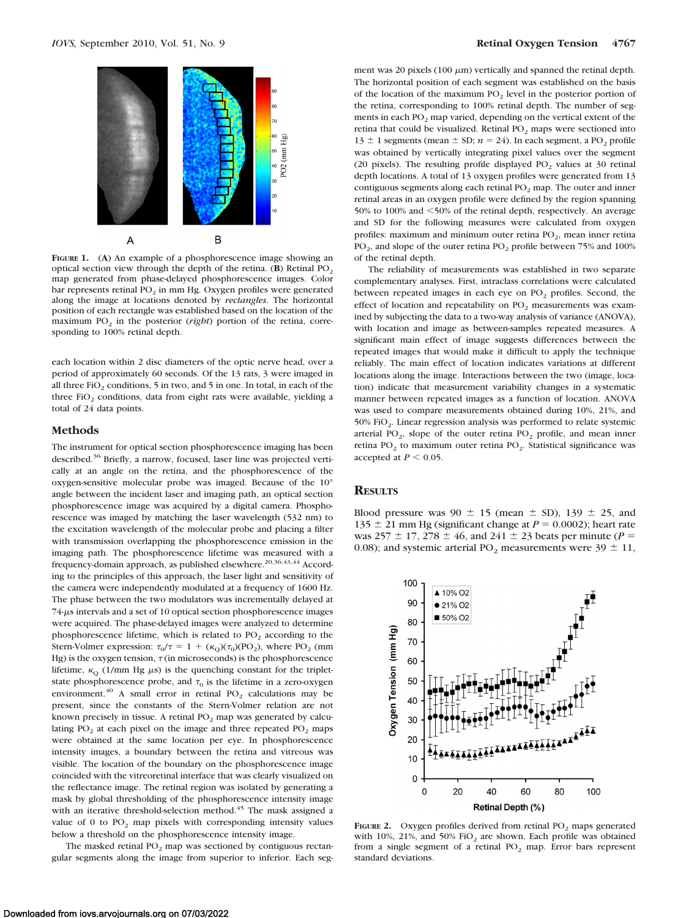

**FIGURE 1.** (**A**) An example of a phosphorescence image showing an optical section view through the depth of the retina. (**B**) Retinal PO<sub>2</sub> map generated from phase-delayed phosphorescence images. Color bar represents retinal PO<sub>2</sub> in mm Hg. Oxygen profiles were generated along the image at locations denoted by *rectangles*. The horizontal position of each rectangle was established based on the location of the maximum PO<sub>2</sub> in the posterior (*right*) portion of the retina, corresponding to 100% retinal depth.

each location within 2 disc diameters of the optic nerve head, over a period of approximately 60 seconds. Of the 13 rats, 3 were imaged in all three FiO<sub>2</sub> conditions, 5 in two, and 5 in one. In total, in each of the three  $FiO<sub>2</sub>$  conditions, data from eight rats were available, yielding a total of 24 data points.

## **Methods**

The instrument for optical section phosphorescence imaging has been described.<sup>36</sup> Briefly, a narrow, focused, laser line was projected vertically at an angle on the retina, and the phosphorescence of the oxygen-sensitive molecular probe was imaged. Because of the 10° angle between the incident laser and imaging path, an optical section phosphorescence image was acquired by a digital camera. Phosphorescence was imaged by matching the laser wavelength (532 nm) to the excitation wavelength of the molecular probe and placing a filter with transmission overlapping the phosphorescence emission in the imaging path. The phosphorescence lifetime was measured with a frequency-domain approach, as published elsewhere.<sup>20,36,43,44</sup> According to the principles of this approach, the laser light and sensitivity of the camera were independently modulated at a frequency of 1600 Hz. The phase between the two modulators was incrementally delayed at 74- $\mu$ s intervals and a set of 10 optical section phosphorescence images were acquired. The phase-delayed images were analyzed to determine phosphorescence lifetime, which is related to  $PO<sub>2</sub>$  according to the Stern-Volmer expression:  $\tau_0/\tau = 1 + (\kappa_Q)(\tau_0)(PO_2)$ , where PO<sub>2</sub> (mm Hg) is the oxygen tension,  $\tau$  (in microseconds) is the phosphorescence lifetime,  $\kappa_Q$  (1/mm Hg  $\mu$ s) is the quenching constant for the tripletstate phosphorescence probe, and  $\tau_0$  is the lifetime in a zero-oxygen environment.<sup>40</sup> A small error in retinal PO<sub>2</sub> calculations may be present, since the constants of the Stern-Volmer relation are not known precisely in tissue. A retinal  $PO<sub>2</sub>$  map was generated by calculating  $PO_2$  at each pixel on the image and three repeated  $PO_2$  maps were obtained at the same location per eye. In phosphorescence intensity images, a boundary between the retina and vitreous was visible. The location of the boundary on the phosphorescence image coincided with the vitreoretinal interface that was clearly visualized on the reflectance image. The retinal region was isolated by generating a mask by global thresholding of the phosphorescence intensity image with an iterative threshold-selection method.<sup>45</sup> The mask assigned a value of 0 to  $PO<sub>2</sub>$  map pixels with corresponding intensity values below a threshold on the phosphorescence intensity image.

The masked retinal  $PO<sub>2</sub>$  map was sectioned by contiguous rectangular segments along the image from superior to inferior. Each seg-

ment was 20 pixels (100  $\mu$ m) vertically and spanned the retinal depth. The horizontal position of each segment was established on the basis of the location of the maximum  $PO<sub>2</sub>$  level in the posterior portion of the retina, corresponding to 100% retinal depth. The number of segments in each PO<sub>2</sub> map varied, depending on the vertical extent of the retina that could be visualized. Retinal  $PO<sub>2</sub>$  maps were sectioned into  $13 \pm 1$  segments (mean  $\pm$  SD;  $n = 24$ ). In each segment, a PO<sub>2</sub> profile was obtained by vertically integrating pixel values over the segment (20 pixels). The resulting profile displayed  $PO<sub>2</sub>$  values at 30 retinal depth locations. A total of 13 oxygen profiles were generated from 13 contiguous segments along each retinal  $PO<sub>2</sub>$  map. The outer and inner retinal areas in an oxygen profile were defined by the region spanning 50% to 100% and <50% of the retinal depth, respectively. An average and SD for the following measures were calculated from oxygen profiles: maximum and minimum outer retina  $PO<sub>2</sub>$ , mean inner retina  $PO<sub>2</sub>$ , and slope of the outer retina  $PO<sub>2</sub>$  profile between 75% and 100% of the retinal depth.

The reliability of measurements was established in two separate complementary analyses. First, intraclass correlations were calculated between repeated images in each eye on  $PO<sub>2</sub>$  profiles. Second, the effect of location and repeatability on  $PO<sub>2</sub>$  measurements was examined by subjecting the data to a two-way analysis of variance (ANOVA), with location and image as between-samples repeated measures. A significant main effect of image suggests differences between the repeated images that would make it difficult to apply the technique reliably. The main effect of location indicates variations at different locations along the image. Interactions between the two (image, location) indicate that measurement variability changes in a systematic manner between repeated images as a function of location. ANOVA was used to compare measurements obtained during 10%, 21%, and 50% FiO<sub>2</sub>. Linear regression analysis was performed to relate systemic arterial PO<sub>2</sub>, slope of the outer retina PO<sub>2</sub> profile, and mean inner retina  $PO<sub>2</sub>$  to maximum outer retina  $PO<sub>2</sub>$ . Statistical significance was accepted at  $P < 0.05$ .

#### **RESULTS**

Blood pressure was 90  $\pm$  15 (mean  $\pm$  SD), 139  $\pm$  25, and  $135 \pm 21$  mm Hg (significant change at  $P = 0.0002$ ); heart rate was  $257 \pm 17$ ,  $278 \pm 46$ , and  $241 \pm 23$  beats per minute (*P* = 0.08); and systemic arterial PO<sub>2</sub> measurements were  $39 \pm 11$ ,



**FIGURE 2.** Oxygen profiles derived from retinal PO<sub>2</sub> maps generated with 10%, 21%, and 50%  $FiO<sub>2</sub>$  are shown. Each profile was obtained from a single segment of a retinal  $PO<sub>2</sub>$  map. Error bars represent standard deviations.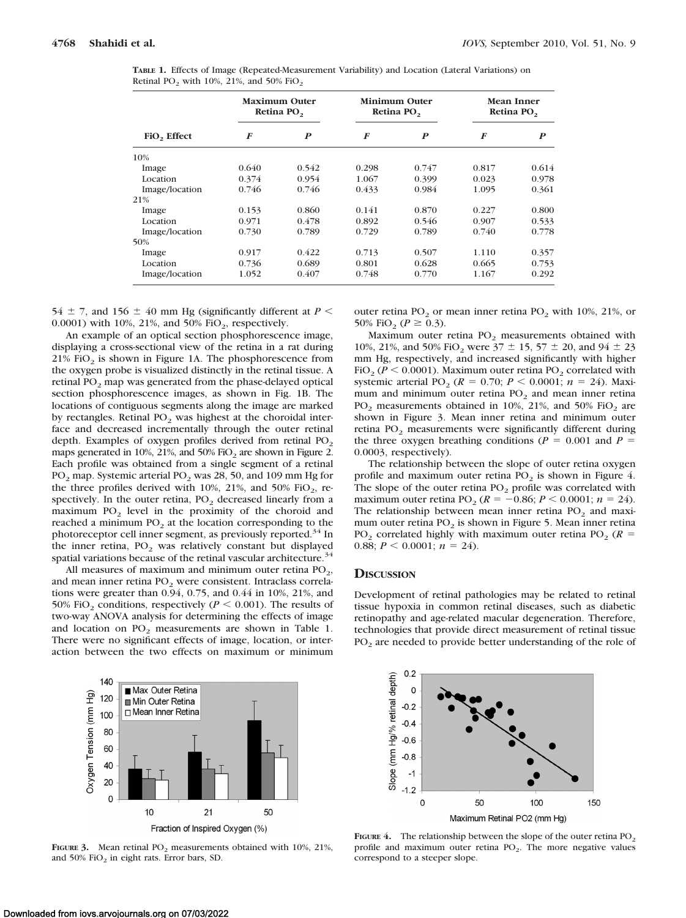|  |                                                                            |  | <b>TABLE 1.</b> Effects of Image (Repeated-Measurement Variability) and Location (Lateral Variations) on |  |  |
|--|----------------------------------------------------------------------------|--|----------------------------------------------------------------------------------------------------------|--|--|
|  | Retinal PO <sub>2</sub> with $10\%$ , $21\%$ , and $50\%$ FiO <sub>2</sub> |  |                                                                                                          |  |  |

|                         | Maximum Outer<br>Retina PO <sub>2</sub> |                  | <b>Minimum Outer</b><br>Retina PO <sub>2</sub> |       | Mean Inner<br>Retina PO <sub>2</sub> |                  |
|-------------------------|-----------------------------------------|------------------|------------------------------------------------|-------|--------------------------------------|------------------|
| FiO <sub>2</sub> Effect | F                                       | $\boldsymbol{P}$ | F                                              | P     | $\bm{F}$                             | $\boldsymbol{P}$ |
| 10%                     |                                         |                  |                                                |       |                                      |                  |
| Image                   | 0.640                                   | 0.542            | 0.298                                          | 0.747 | 0.817                                | 0.614            |
| Location                | 0.374                                   | 0.954            | 1.067                                          | 0.399 | 0.023                                | 0.978            |
| Image/location          | 0.746                                   | 0.746            | 0.433                                          | 0.984 | 1.095                                | 0.361            |
| 21%                     |                                         |                  |                                                |       |                                      |                  |
| Image                   | 0.153                                   | 0.860            | 0.141                                          | 0.870 | 0.227                                | 0.800            |
| Location                | 0.971                                   | 0.478            | 0.892                                          | 0.546 | 0.907                                | 0.533            |
| Image/location          | 0.730                                   | 0.789            | 0.729                                          | 0.789 | 0.740                                | 0.778            |
| 50%                     |                                         |                  |                                                |       |                                      |                  |
| Image                   | 0.917                                   | 0.422            | 0.713                                          | 0.507 | 1.110                                | 0.357            |
| Location                | 0.736                                   | 0.689            | 0.801                                          | 0.628 | 0.665                                | 0.753            |
| Image/location          | 1.052                                   | 0.407            | 0.748                                          | 0.770 | 1.167                                | 0.292            |

54  $\pm$  7, and 156  $\pm$  40 mm Hg (significantly different at *P* < 0.0001) with 10%, 21%, and 50%  $FiO<sub>2</sub>$ , respectively.

An example of an optical section phosphorescence image, displaying a cross-sectional view of the retina in a rat during 21%  $FiO<sub>2</sub>$  is shown in Figure 1A. The phosphorescence from the oxygen probe is visualized distinctly in the retinal tissue. A retinal PO<sub>2</sub> map was generated from the phase-delayed optical section phosphorescence images, as shown in Fig. 1B. The locations of contiguous segments along the image are marked by rectangles. Retinal  $PO<sub>2</sub>$  was highest at the choroidal interface and decreased incrementally through the outer retinal depth. Examples of oxygen profiles derived from retinal  $PO<sub>2</sub>$ maps generated in 10%, 21%, and 50%  $FiO<sub>2</sub>$  are shown in Figure 2. Each profile was obtained from a single segment of a retinal PO<sub>2</sub> map. Systemic arterial PO<sub>2</sub> was 28, 50, and 109 mm Hg for the three profiles derived with 10%, 21%, and 50%  $FiO_2$ , respectively. In the outer retina,  $PO<sub>2</sub>$  decreased linearly from a maximum  $PO<sub>2</sub>$  level in the proximity of the choroid and reached a minimum PO<sub>2</sub> at the location corresponding to the photoreceptor cell inner segment, as previously reported.<sup>34</sup> In the inner retina,  $PO_2$  was relatively constant but displayed spatial variations because of the retinal vascular architecture.<sup>34</sup>

All measures of maximum and minimum outer retina  $PO<sub>2</sub>$ , and mean inner retina  $PO<sub>2</sub>$  were consistent. Intraclass correlations were greater than 0.94, 0.75, and 0.44 in 10%, 21%, and 50% FiO<sub>2</sub> conditions, respectively ( $P \le 0.001$ ). The results of two-way ANOVA analysis for determining the effects of image and location on  $PO<sub>2</sub>$  measurements are shown in Table 1. There were no significant effects of image, location, or interaction between the two effects on maximum or minimum



**FIGURE 3.** Mean retinal  $PO_2$  measurements obtained with 10%, 21%, and  $50\%$  FiO<sub>2</sub> in eight rats. Error bars, SD.

outer retina  $PO<sub>2</sub>$  or mean inner retina  $PO<sub>2</sub>$  with 10%, 21%, or 50% FiO<sub>2</sub> ( $P \ge 0.3$ ).

Maximum outer retina  $PO<sub>2</sub>$  measurements obtained with 10%, 21%, and 50% FiO<sub>2</sub> were  $37 \pm 15$ ,  $57 \pm 20$ , and  $94 \pm 23$ mm Hg, respectively, and increased significantly with higher FiO<sub>2</sub> ( $P < 0.0001$ ). Maximum outer retina PO<sub>2</sub> correlated with systemic arterial PO<sub>2</sub> ( $R = 0.70$ ;  $P < 0.0001$ ;  $n = 24$ ). Maximum and minimum outer retina  $PO<sub>2</sub>$  and mean inner retina  $PO_2$  measurements obtained in 10%, 21%, and 50% FiO<sub>2</sub> are shown in Figure 3. Mean inner retina and minimum outer retina  $PO<sub>2</sub>$  measurements were significantly different during the three oxygen breathing conditions ( $P = 0.001$  and  $P =$ 0.0003, respectively).

The relationship between the slope of outer retina oxygen profile and maximum outer retina  $PO<sub>2</sub>$  is shown in Figure 4. The slope of the outer retina  $PO<sub>2</sub>$  profile was correlated with maximum outer retina PO<sub>2</sub> ( $R = -0.86$ ;  $P < 0.0001$ ;  $n = 24$ ). The relationship between mean inner retina  $PO<sub>2</sub>$  and maximum outer retina  $PO<sub>2</sub>$  is shown in Figure 5. Mean inner retina  $PO_2$  correlated highly with maximum outer retina  $PO_2$  ( $R =$ 0.88;  $P < 0.0001$ ;  $n = 24$ ).

### **DISCUSSION**

Development of retinal pathologies may be related to retinal tissue hypoxia in common retinal diseases, such as diabetic retinopathy and age-related macular degeneration. Therefore, technologies that provide direct measurement of retinal tissue  $PO<sub>2</sub>$  are needed to provide better understanding of the role of



**FIGURE 4.** The relationship between the slope of the outer retina  $PO<sub>2</sub>$ profile and maximum outer retina  $PO<sub>2</sub>$ . The more negative values correspond to a steeper slope.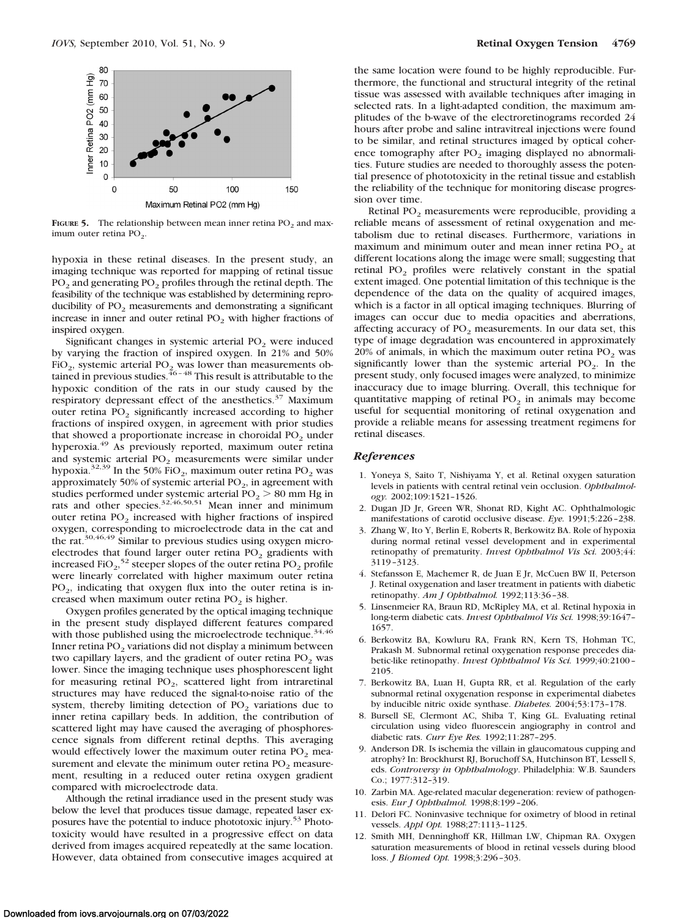

**FIGURE 5.** The relationship between mean inner retina  $PO_2$  and maximum outer retina  $PO<sub>2</sub>$ .

hypoxia in these retinal diseases. In the present study, an imaging technique was reported for mapping of retinal tissue  $PO<sub>2</sub>$  and generating  $PO<sub>2</sub>$  profiles through the retinal depth. The feasibility of the technique was established by determining reproducibility of PO<sub>2</sub> measurements and demonstrating a significant increase in inner and outer retinal  $PO<sub>2</sub>$  with higher fractions of inspired oxygen.

Significant changes in systemic arterial  $PO<sub>2</sub>$  were induced by varying the fraction of inspired oxygen. In 21% and 50% FiO<sub>2</sub>, systemic arterial PO<sub>2</sub> was lower than measurements obtained in previous studies.<sup>46-48</sup> This result is attributable to the hypoxic condition of the rats in our study caused by the respiratory depressant effect of the anesthetics.<sup>37</sup> Maximum outer retina  $PO<sub>2</sub>$  significantly increased according to higher fractions of inspired oxygen, in agreement with prior studies that showed a proportionate increase in choroidal  $PO<sub>2</sub>$  under hyperoxia.49 As previously reported, maximum outer retina and systemic arterial  $PO<sub>2</sub>$  measurements were similar under hypoxia.<sup>32,39</sup> In the 50% FiO<sub>2</sub>, maximum outer retina PO<sub>2</sub> was approximately 50% of systemic arterial  $PO<sub>2</sub>$ , in agreement with studies performed under systemic arterial  $PO<sub>2</sub> > 80$  mm Hg in rats and other species.<sup>32,46,50,51</sup> Mean inner and minimum outer retina  $PO<sub>2</sub>$  increased with higher fractions of inspired oxygen, corresponding to microelectrode data in the cat and the rat.30,46,49 Similar to previous studies using oxygen microelectrodes that found larger outer retina  $PO<sub>2</sub>$  gradients with increased  $\text{FiO}_2$ <sup>52</sup> steeper slopes of the outer retina PO<sub>2</sub> profile were linearly correlated with higher maximum outer retina  $PO<sub>2</sub>$ , indicating that oxygen flux into the outer retina is increased when maximum outer retina  $PO<sub>2</sub>$  is higher.

Oxygen profiles generated by the optical imaging technique in the present study displayed different features compared with those published using the microelectrode technique.<sup>34,46</sup> Inner retina PO<sub>2</sub> variations did not display a minimum between two capillary layers, and the gradient of outer retina PO<sub>2</sub> was lower. Since the imaging technique uses phosphorescent light for measuring retinal  $PO<sub>2</sub>$ , scattered light from intraretinal structures may have reduced the signal-to-noise ratio of the system, thereby limiting detection of  $PO<sub>2</sub>$  variations due to inner retina capillary beds. In addition, the contribution of scattered light may have caused the averaging of phosphorescence signals from different retinal depths. This averaging would effectively lower the maximum outer retina  $PO<sub>2</sub>$  measurement and elevate the minimum outer retina  $PO<sub>2</sub>$  measurement, resulting in a reduced outer retina oxygen gradient compared with microelectrode data.

Although the retinal irradiance used in the present study was below the level that produces tissue damage, repeated laser exposures have the potential to induce phototoxic injury.53 Phototoxicity would have resulted in a progressive effect on data derived from images acquired repeatedly at the same location. However, data obtained from consecutive images acquired at

the same location were found to be highly reproducible. Furthermore, the functional and structural integrity of the retinal tissue was assessed with available techniques after imaging in selected rats. In a light-adapted condition, the maximum amplitudes of the b-wave of the electroretinograms recorded 24 hours after probe and saline intravitreal injections were found to be similar, and retinal structures imaged by optical coherence tomography after  $PO<sub>2</sub>$  imaging displayed no abnormalities. Future studies are needed to thoroughly assess the potential presence of phototoxicity in the retinal tissue and establish the reliability of the technique for monitoring disease progression over time.

Retinal PO<sub>2</sub> measurements were reproducible, providing a reliable means of assessment of retinal oxygenation and metabolism due to retinal diseases. Furthermore, variations in maximum and minimum outer and mean inner retina  $PO<sub>2</sub>$  at different locations along the image were small; suggesting that retinal  $PO<sub>2</sub>$  profiles were relatively constant in the spatial extent imaged. One potential limitation of this technique is the dependence of the data on the quality of acquired images, which is a factor in all optical imaging techniques. Blurring of images can occur due to media opacities and aberrations, affecting accuracy of  $PO<sub>2</sub>$  measurements. In our data set, this type of image degradation was encountered in approximately 20% of animals, in which the maximum outer retina  $PO<sub>2</sub>$  was significantly lower than the systemic arterial  $PO<sub>2</sub>$ . In the present study, only focused images were analyzed, to minimize inaccuracy due to image blurring. Overall, this technique for quantitative mapping of retinal  $PO<sub>2</sub>$  in animals may become useful for sequential monitoring of retinal oxygenation and provide a reliable means for assessing treatment regimens for retinal diseases.

#### *References*

- 1. Yoneya S, Saito T, Nishiyama Y, et al. Retinal oxygen saturation levels in patients with central retinal vein occlusion. *Ophthalmology.* 2002;109:1521–1526.
- 2. Dugan JD Jr, Green WR, Shonat RD, Kight AC. Ophthalmologic manifestations of carotid occlusive disease. *Eye.* 1991;5:226 –238.
- 3. Zhang W, Ito Y, Berlin E, Roberts R, Berkowitz BA. Role of hypoxia during normal retinal vessel development and in experimental retinopathy of prematurity. *Invest Ophthalmol Vis Sci.* 2003;44: 3119 –3123.
- 4. Stefansson E, Machemer R, de Juan E Jr, McCuen BW II, Peterson J. Retinal oxygenation and laser treatment in patients with diabetic retinopathy. *Am J Ophthalmol.* 1992;113:36 –38.
- 5. Linsenmeier RA, Braun RD, McRipley MA, et al. Retinal hypoxia in long-term diabetic cats. *Invest Ophthalmol Vis Sci.* 1998;39:1647– 1657.
- 6. Berkowitz BA, Kowluru RA, Frank RN, Kern TS, Hohman TC, Prakash M. Subnormal retinal oxygenation response precedes diabetic-like retinopathy. *Invest Ophthalmol Vis Sci.* 1999;40:2100 – 2105.
- 7. Berkowitz BA, Luan H, Gupta RR, et al. Regulation of the early subnormal retinal oxygenation response in experimental diabetes by inducible nitric oxide synthase. *Diabetes.* 2004;53:173–178.
- 8. Bursell SE, Clermont AC, Shiba T, King GL. Evaluating retinal circulation using video fluorescein angiography in control and diabetic rats. *Curr Eye Res.* 1992;11:287–295.
- 9. Anderson DR. Is ischemia the villain in glaucomatous cupping and atrophy? In: Brockhurst RJ, Boruchoff SA, Hutchinson BT, Lessell S, eds. *Controversy in Ophthalmology*. Philadelphia: W.B. Saunders Co.; 1977:312–319.
- 10. Zarbin MA. Age-related macular degeneration: review of pathogenesis. *Eur J Ophthalmol.* 1998;8:199 –206.
- 11. Delori FC. Noninvasive technique for oximetry of blood in retinal vessels. *Appl Opt.* 1988;27:1113–1125.
- 12. Smith MH, Denninghoff KR, Hillman LW, Chipman RA. Oxygen saturation measurements of blood in retinal vessels during blood loss. *J Biomed Opt.* 1998;3:296 –303.